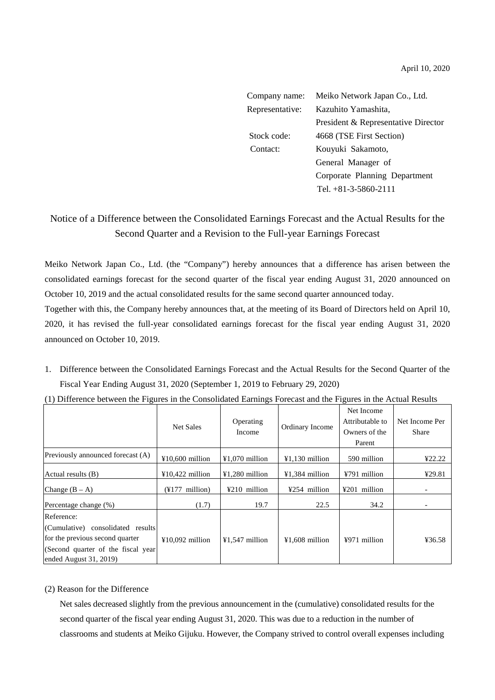| Company name:   | Meiko Network Japan Co., Ltd.       |  |  |
|-----------------|-------------------------------------|--|--|
| Representative: | Kazuhito Yamashita,                 |  |  |
|                 | President & Representative Director |  |  |
| Stock code:     | 4668 (TSE First Section)            |  |  |
| Contact:        | Kouyuki Sakamoto,                   |  |  |
|                 | General Manager of                  |  |  |
|                 | Corporate Planning Department       |  |  |
|                 | Tel. +81-3-5860-2111                |  |  |

## Notice of a Difference between the Consolidated Earnings Forecast and the Actual Results for the Second Quarter and a Revision to the Full-year Earnings Forecast

Meiko Network Japan Co., Ltd. (the "Company") hereby announces that a difference has arisen between the consolidated earnings forecast for the second quarter of the fiscal year ending August 31, 2020 announced on October 10, 2019 and the actual consolidated results for the same second quarter announced today.

Together with this, the Company hereby announces that, at the meeting of its Board of Directors held on April 10, 2020, it has revised the full-year consolidated earnings forecast for the fiscal year ending August 31, 2020 announced on October 10, 2019.

1. Difference between the Consolidated Earnings Forecast and the Actual Results for the Second Quarter of the Fiscal Year Ending August 31, 2020 (September 1, 2019 to February 29, 2020)

|                                     | <b>Net Sales</b>                     | Operating<br>Income | Ordinary Income  | Net Income<br>Attributable to<br>Owners of the | Net Income Per<br>Share |
|-------------------------------------|--------------------------------------|---------------------|------------------|------------------------------------------------|-------------------------|
|                                     |                                      |                     |                  | Parent                                         |                         |
| Previously announced forecast (A)   | $\text{\textsterling}10.600$ million | $¥1,070$ million    | ¥1.130 million   | 590 million                                    | 422.22                  |
| Actual results (B)                  | $¥10,422$ million                    | $41,280$ million    | ¥1,384 million   | ¥791 million                                   | 429.81                  |
| Change $(B - A)$                    | $(\frac{1}{2}177 \text{ million})$   | $4210$ million      | ¥254 million     | $4201$ million                                 |                         |
| Percentage change (%)               | (1.7)                                | 19.7                | 22.5             | 34.2                                           |                         |
| Reference:                          |                                      |                     |                  |                                                |                         |
| (Cumulative) consolidated results   |                                      |                     |                  |                                                |                         |
| for the previous second quarter     | $¥10,092$ million                    | $¥1,547$ million    | $¥1,608$ million | ¥971 million                                   | ¥36.58                  |
| (Second quarter of the fiscal year) |                                      |                     |                  |                                                |                         |
| ended August $31, 2019$             |                                      |                     |                  |                                                |                         |

(1) Difference between the Figures in the Consolidated Earnings Forecast and the Figures in the Actual Results

## (2) Reason for the Difference

Net sales decreased slightly from the previous announcement in the (cumulative) consolidated results for the second quarter of the fiscal year ending August 31, 2020. This was due to a reduction in the number of classrooms and students at Meiko Gijuku. However, the Company strived to control overall expenses including